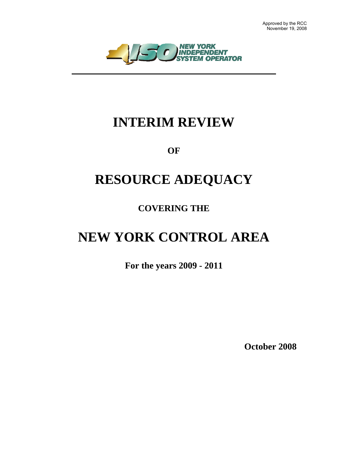

## **INTERIM REVIEW**

**OF** 

## **RESOURCE ADEQUACY**

**COVERING THE** 

# **NEW YORK CONTROL AREA**

**For the years 2009 - 2011** 

**October 2008**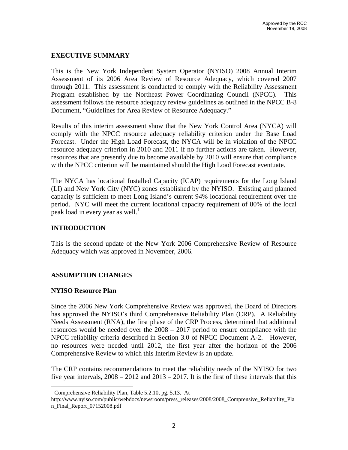### **EXECUTIVE SUMMARY**

This is the New York Independent System Operator (NYISO) 2008 Annual Interim Assessment of its 2006 Area Review of Resource Adequacy, which covered 2007 through 2011. This assessment is conducted to comply with the Reliability Assessment Program established by the Northeast Power Coordinating Council (NPCC). This assessment follows the resource adequacy review guidelines as outlined in the NPCC B-8 Document, "Guidelines for Area Review of Resource Adequacy."

Results of this interim assessment show that the New York Control Area (NYCA) will comply with the NPCC resource adequacy reliability criterion under the Base Load Forecast. Under the High Load Forecast, the NYCA will be in violation of the NPCC resource adequacy criterion in 2010 and 2011 if no further actions are taken. However, resources that are presently due to become available by 2010 will ensure that compliance with the NPCC criterion will be maintained should the High Load Forecast eventuate.

The NYCA has locational Installed Capacity (ICAP) requirements for the Long Island (LI) and New York City (NYC) zones established by the NYISO. Existing and planned capacity is sufficient to meet Long Island's current 94% locational requirement over the period. NYC will meet the current locational capacity requirement of 80% of the local peak load in every year as well. $<sup>1</sup>$  $<sup>1</sup>$  $<sup>1</sup>$ </sup>

## **INTRODUCTION**

This is the second update of the New York 2006 Comprehensive Review of Resource Adequacy which was approved in November, 2006.

## **ASSUMPTION CHANGES**

#### **NYISO Resource Plan**

 $\overline{a}$ 

Since the 2006 New York Comprehensive Review was approved, the Board of Directors has approved the NYISO's third Comprehensive Reliability Plan (CRP). A Reliability Needs Assessment (RNA), the first phase of the CRP Process, determined that additional resources would be needed over the 2008 – 2017 period to ensure compliance with the NPCC reliability criteria described in Section 3.0 of NPCC Document A-2. However, no resources were needed until 2012, the first year after the horizon of the 2006 Comprehensive Review to which this Interim Review is an update.

The CRP contains recommendations to meet the reliability needs of the NYISO for two five year intervals,  $2008 - 2012$  and  $2013 - 2017$ . It is the first of these intervals that this

<span id="page-1-0"></span><sup>&</sup>lt;sup>1</sup> Comprehensive Reliability Plan, Table 5.2.10, pg. 5.13. At

http://www.nyiso.com/public/webdocs/newsroom/press\_releases/2008/2008\_Comprensive\_Reliability\_Pla n\_Final\_Report\_07152008.pdf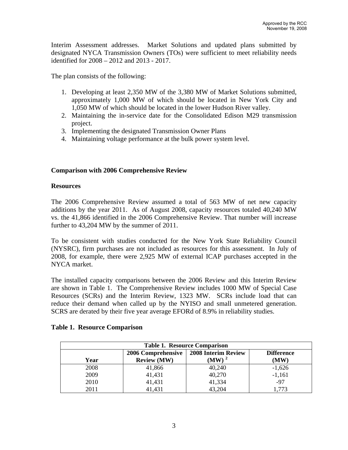<span id="page-2-0"></span>Interim Assessment addresses. Market Solutions and updated plans submitted by designated NYCA Transmission Owners (TOs) were sufficient to meet reliability needs identified for 2008 – 2012 and 2013 - 2017.

The plan consists of the following:

- 1. Developing at least 2,350 MW of the 3,380 MW of Market Solutions submitted, approximately 1,000 MW of which should be located in New York City and 1,050 MW of which should be located in the lower Hudson River valley.
- 2. Maintaining the in-service date for the Consolidated Edison M29 transmission project.
- 3. Implementing the designated Transmission Owner Plans
- 4. Maintaining voltage performance at the bulk power system level.

### **Comparison with 2006 Comprehensive Review**

#### **Resources**

The 2006 Comprehensive Review assumed a total of 563 MW of net new capacity additions by the year 2011. As of August 2008, capacity resources totaled 40,240 MW vs. the 41,866 identified in the 2006 Comprehensive Review. That number will increase further to 43,204 MW by the summer of 2011.

To be consistent with studies conducted for the New York State Reliability Council (NYSRC), firm purchases are not included as resources for this assessment. In July of 2008, for example, there were 2,925 MW of external ICAP purchases accepted in the NYCA market.

The installed capacity comparisons between the 2006 Review and this Interim Review are shown in Table 1. The Comprehensive Review includes 1000 MW of Special Case Resources (SCRs) and the Interim Review, 1323 MW. SCRs include load that can reduce their demand when called up by the NYISO and small unmetered generation. SCRS are derated by their five year average EFORd of 8.9% in reliability studies.

| <b>Table 1. Resource Comparison</b> |                           |        |          |  |  |  |
|-------------------------------------|---------------------------|--------|----------|--|--|--|
| Year                                | <b>Difference</b><br>(MW) |        |          |  |  |  |
| 2008                                | 41,866                    | 40,240 | $-1,626$ |  |  |  |
| 2009                                | 41,431                    | 40,270 | $-1,161$ |  |  |  |
| 2010                                | 41,431                    | 41,334 | $-97$    |  |  |  |
| 2011                                | 41,431                    | 43,204 | 1,773    |  |  |  |

### **Table 1. Resource Comparison**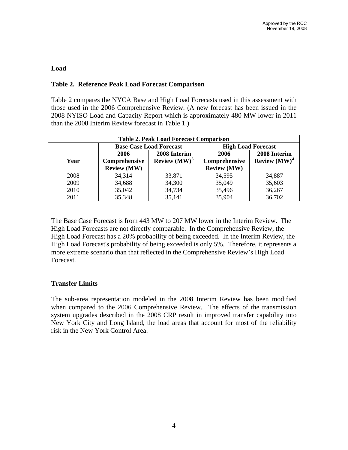### <span id="page-3-0"></span>**Load**

## **Table 2. Reference Peak Load Forecast Comparison**

Table 2 compares the NYCA Base and High Load Forecasts used in this assessment with those used in the 2006 Comprehensive Review. (A new forecast has been issued in the 2008 NYISO Load and Capacity Report which is approximately 480 MW lower in 2011 than the 2008 Interim Review forecast in Table 1.)

| <b>Table 2. Peak Load Forecast Comparison</b> |                                         |        |                           |                        |  |  |
|-----------------------------------------------|-----------------------------------------|--------|---------------------------|------------------------|--|--|
|                                               | <b>Base Case Load Forecast</b>          |        | <b>High Load Forecast</b> |                        |  |  |
|                                               | 2008 Interim<br>2006                    |        | 2006                      | 2008 Interim           |  |  |
| Year                                          | <b>Review</b> $(MW)^3$<br>Comprehensive |        | Comprehensive             | <b>Review</b> $(MW)^4$ |  |  |
|                                               | <b>Review (MW)</b>                      |        | <b>Review (MW)</b>        |                        |  |  |
| 2008                                          | 34,314                                  | 33,871 | 34,595                    | 34,887                 |  |  |
| 2009                                          | 34,688                                  | 34,300 | 35,049                    | 35,603                 |  |  |
| 2010                                          | 35,042                                  | 34,734 | 35,496                    | 36,267                 |  |  |
| 2011                                          | 35,348                                  | 35,141 | 35,904                    | 36,702                 |  |  |

The Base Case Forecast is from 443 MW to 207 MW lower in the Interim Review. The High Load Forecasts are not directly comparable. In the Comprehensive Review, the High Load Forecast has a 20% probability of being exceeded. In the Interim Review, the High Load Forecast's probability of being exceeded is only 5%. Therefore, it represents a more extreme scenario than that reflected in the Comprehensive Review's High Load Forecast.

#### **Transfer Limits**

The sub-area representation modeled in the 2008 Interim Review has been modified when compared to the 2006 Comprehensive Review. The effects of the transmission system upgrades described in the 2008 CRP result in improved transfer capability into New York City and Long Island, the load areas that account for most of the reliability risk in the New York Control Area.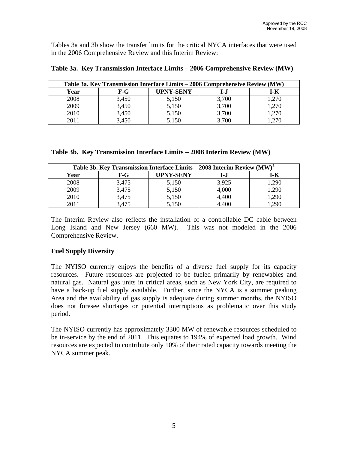<span id="page-4-0"></span>Tables 3a and 3b show the transfer limits for the critical NYCA interfaces that were used in the 2006 Comprehensive Review and this Interim Review:

| Table 3a. Key Transmission Interface Limits – 2006 Comprehensive Review (MW) |         |                  |       |       |  |
|------------------------------------------------------------------------------|---------|------------------|-------|-------|--|
| Year                                                                         | $F - G$ | <b>UPNY-SENY</b> | I-.I  | I-K   |  |
| 2008                                                                         | 3,450   | 5,150            | 3,700 | 1,270 |  |
| 2009                                                                         | 3,450   | 5,150            | 3,700 | 1,270 |  |
| 2010                                                                         | 3,450   | 5,150            | 3,700 | 1,270 |  |
| 2011                                                                         | 3,450   | 5,150            | 3,700 | 1,270 |  |

**Table 3a. Key Transmission Interface Limits – 2006 Comprehensive Review (MW)** 

|  |  | Table 3b. Key Transmission Interface Limits - 2008 Interim Review (MW) |  |  |  |  |  |  |
|--|--|------------------------------------------------------------------------|--|--|--|--|--|--|
|--|--|------------------------------------------------------------------------|--|--|--|--|--|--|

| Table 3b. Key Transmission Interface Limits – 2008 Interim Review (MW) <sup>5</sup> |       |           |       |       |  |  |
|-------------------------------------------------------------------------------------|-------|-----------|-------|-------|--|--|
| Year                                                                                | F-G   | UPNY-SENY | I-J   | I-K   |  |  |
| 2008                                                                                | 3,475 | 5,150     | 3,925 | 1,290 |  |  |
| 2009                                                                                | 3,475 | 5,150     | 4,000 | 1,290 |  |  |
| 2010                                                                                | 3,475 | 5,150     | 4,400 | 1,290 |  |  |
| 2011                                                                                | 3,475 | 5,150     | .400. | .290  |  |  |

The Interim Review also reflects the installation of a controllable DC cable between Long Island and New Jersey (660 MW). This was not modeled in the 2006 Comprehensive Review.

## **Fuel Supply Diversity**

The NYISO currently enjoys the benefits of a diverse fuel supply for its capacity resources. Future resources are projected to be fueled primarily by renewables and natural gas. Natural gas units in critical areas, such as New York City, are required to have a back-up fuel supply available. Further, since the NYCA is a summer peaking Area and the availability of gas supply is adequate during summer months, the NYISO does not foresee shortages or potential interruptions as problematic over this study period.

The NYISO currently has approximately 3300 MW of renewable resources scheduled to be in-service by the end of 2011. This equates to 194% of expected load growth. Wind resources are expected to contribute only 10% of their rated capacity towards meeting the NYCA summer peak.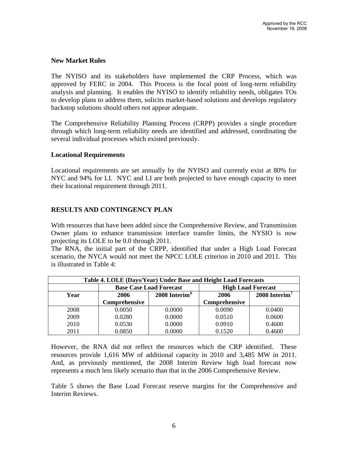#### <span id="page-5-0"></span>**New Market Rules**

The NYISO and its stakeholders have implemented the CRP Process, which was approved by FERC in 2004. This Process is the focal point of long-term reliability analysis and planning. It enables the NYISO to identify reliability needs, obligates TOs to develop plans to address them, solicits market-based solutions and develops regulatory backstop solutions should others not appear adequate.

The Comprehensive Reliability Planning Process (CRPP) provides a single procedure through which long-term reliability needs are identified and addressed, coordinating the several individual processes which existed previously.

#### **Locational Requirements**

Locational requirements are set annually by the NYISO and currently exist at 80% for NYC and 94% for LI. NYC and LI are both projected to have enough capacity to meet their locational requirement through 2011.

#### **RESULTS AND CONTINGENCY PLAN**

With resources that have been added since the Comprehensive Review, and Transmission Owner plans to enhance transmission interface transfer limits, the NYSIO is now projecting its LOLE to be 0.0 through 2011.

The RNA, the initial part of the CRPP, identified that under a High Load Forecast scenario, the NYCA would not meet the NPCC LOLE criterion in 2010 and 2011. This is illustrated in Table 4:

| Table 4. LOLE (Days/Year) Under Base and Height Load Forecasts |                                   |                                |                           |                             |  |  |
|----------------------------------------------------------------|-----------------------------------|--------------------------------|---------------------------|-----------------------------|--|--|
|                                                                |                                   | <b>Base Case Load Forecast</b> | <b>High Load Forecast</b> |                             |  |  |
| Year                                                           | 2008 Interim <sup>6</sup><br>2006 |                                | 2006                      | $2008$ Interim <sup>7</sup> |  |  |
|                                                                | Comprehensive                     |                                | Comprehensive             |                             |  |  |
| 2008                                                           | 0.0050                            | 0.0000                         | 0.0090                    | 0.0400                      |  |  |
| 2009                                                           | 0.0280                            | 0.0000                         | 0.0510                    | 0.0600                      |  |  |
| 2010                                                           | 0.0530                            | 0.0000                         | 0.0910                    | 0.4600                      |  |  |
| 2011                                                           | 0.0850                            | 0.0000                         | 0.1520                    | 0.4600                      |  |  |

However, the RNA did not reflect the resources which the CRP identified. These resources provide 1,616 MW of additional capacity in 2010 and 3,485 MW in 2011. And, as previously mentioned, the 2008 Interim Review high load forecast now represents a much less likely scenario than that in the 2006 Comprehensive Review.

Table 5 shows the Base Load Forecast reserve margins for the Comprehensive and Interim Reviews.